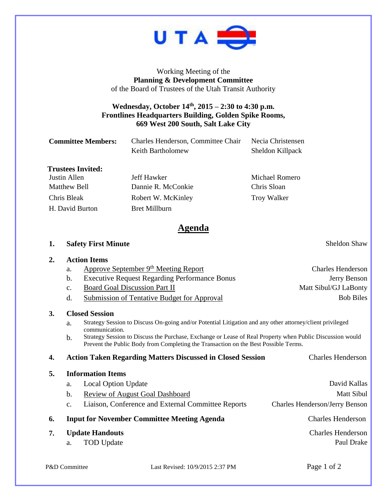

Working Meeting of the **Planning & Development Committee** of the Board of Trustees of the Utah Transit Authority

## **Wednesday, October 14th , 2015 – 2:30 to 4:30 p.m. Frontlines Headquarters Building, Golden Spike Rooms, 669 West 200 South, Salt Lake City**

| <b>Committee Members:</b> | Charles Henderson, Committee Chair<br>Keith Bartholomew | Necia Christensen<br>Sheldon Killpack |
|---------------------------|---------------------------------------------------------|---------------------------------------|
| <b>Trustees Invited:</b>  |                                                         |                                       |
| Justin Allen              | Jeff Hawker                                             | Michael Romero                        |
| <b>Matthew Bell</b>       | Dannie R. McConkie                                      | Chris Sloan                           |
| Chris Bleak               | Robert W. McKinley                                      | <b>Troy Walker</b>                    |

H. David Burton Bret Millburn

## **Agenda**

**1. Safety First Minute** Sheldon Shaw

**2. Action Items** a. Approve September 9<sup>th</sup> Meeting Report Charles Henderson b. Executive Request Regarding Performance Bonus Jerry Benson c. Board Goal Discussion Part II Matt Sibul/GJ LaBonty d. Submission of Tentative Budget for Approval Bob Biles **3. Closed Session** a. Strategy Session to Discuss On-going and/or Potential Litigation and any other attorney/client privileged communication. b. Strategy Session to Discuss the Purchase, Exchange or Lease of Real Property when Public Discussion would Prevent the Public Body from Completing the Transaction on the Best Possible Terms. **4. Action Taken Regarding Matters Discussed in Closed Session** Charles Henderson **5. Information Items** a. Local Option Update David Kallas b. Review of August Goal Dashboard Matt Sibul c. Liaison, Conference and External Committee Reports Charles Henderson/Jerry Benson **6. Input for November Committee Meeting Agenda** Charles Henderson **7. Update Handouts** Charles Henderson a. TOD Update Paul Drake Paul Drake Paul Drake Paul Drake Paul Drake Paul Drake Paul Drake Paul Drake Paul Drake Paul Drake Paul Drake Paul Drake Paul Drake Paul Drake Paul Drake Paul Drake Paul Drake Paul Drake Paul Drake

P&D Committee Last Revised: 10/9/2015 2:37 PM Page 1 of 2